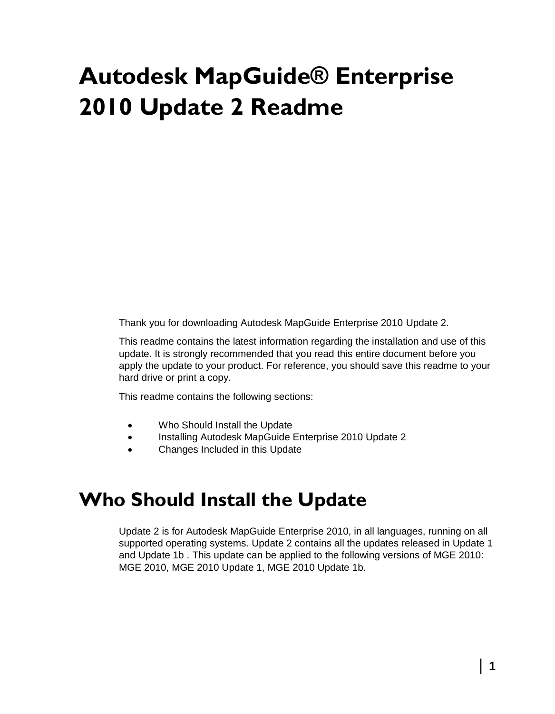# **Autodesk MapGuide® Enterprise 2010 Update 2 Readme**

Thank you for downloading Autodesk MapGuide Enterprise 2010 Update 2.

This readme contains the latest information regarding the installation and use of this update. It is strongly recommended that you read this entire document before you apply the update to your product. For reference, you should save this readme to your hard drive or print a copy.

This readme contains the following sections:

- Who Should Install the Update
- Installing Autodesk MapGuide Enterprise 2010 Update 2
- Changes Included in this Update

### **Who Should Install the Update**

Update 2 is for Autodesk MapGuide Enterprise 2010, in all languages, running on all supported operating systems. Update 2 contains all the updates released in Update 1 and Update 1b . This update can be applied to the following versions of MGE 2010: MGE 2010, MGE 2010 Update 1, MGE 2010 Update 1b.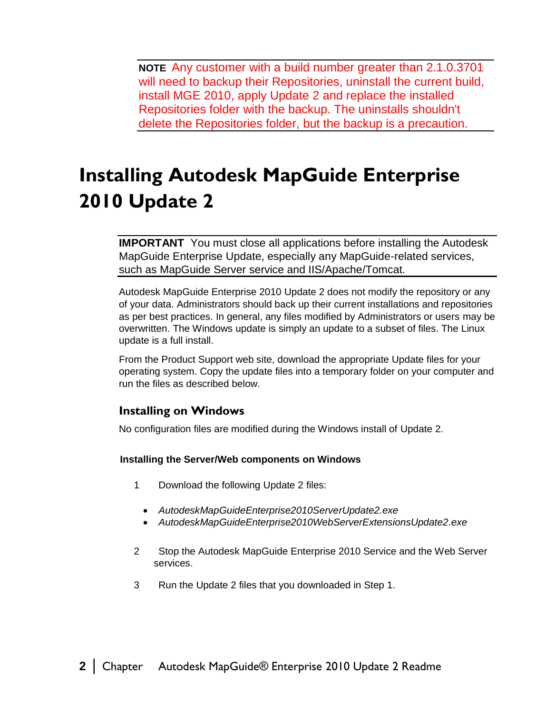**NOTE** Any customer with a build number greater than 2.1.0.3701 will need to backup their Repositories, uninstall the current build, install MGE 2010, apply Update 2 and replace the installed Repositories folder with the backup. The uninstalls shouldn't delete the Repositories folder, but the backup is a precaution.

# **Installing Autodesk MapGuide Enterprise 2010 Update 2**

**IMPORTANT** You must close all applications before installing the Autodesk MapGuide Enterprise Update, especially any MapGuide-related services, such as MapGuide Server service and IIS/Apache/Tomcat.

Autodesk MapGuide Enterprise 2010 Update 2 does not modify the repository or any of your data. Administrators should back up their current installations and repositories as per best practices. In general, any files modified by Administrators or users may be overwritten. The Windows update is simply an update to a subset of files. The Linux update is a full install.

From the Product Support web site, download the appropriate Update files for your operating system. Copy the update files into a temporary folder on your computer and run the files as described below.

#### **Installing on Windows**

No configuration files are modified during the Windows install of Update 2.

#### **Installing the Server/Web components on Windows**

- 1 Download the following Update 2 files:
	- *AutodeskMapGuideEnterprise2010ServerUpdate2.exe*
	- *AutodeskMapGuideEnterprise2010WebServerExtensionsUpdate2.exe*
- 2 Stop the Autodesk MapGuide Enterprise 2010 Service and the Web Server services.
- 3 Run the Update 2 files that you downloaded in Step 1.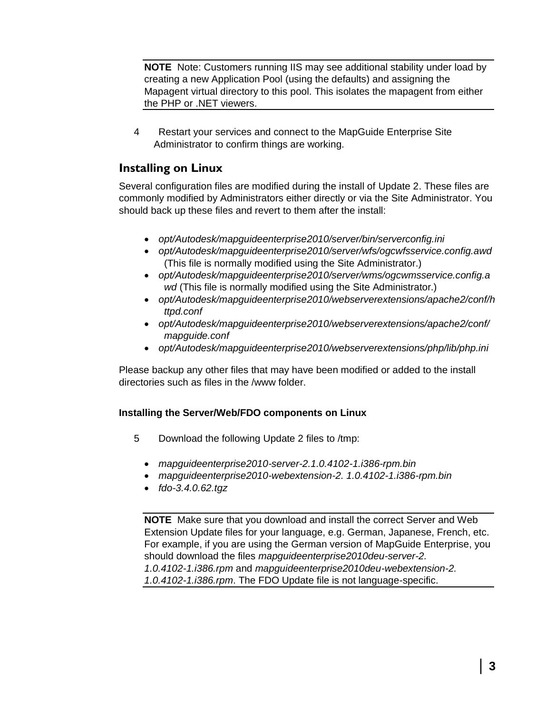**NOTE** Note: Customers running IIS may see additional stability under load by creating a new Application Pool (using the defaults) and assigning the Mapagent virtual directory to this pool. This isolates the mapagent from either the PHP or .NET viewers.

4 Restart your services and connect to the MapGuide Enterprise Site Administrator to confirm things are working.

#### **Installing on Linux**

Several configuration files are modified during the install of Update 2. These files are commonly modified by Administrators either directly or via the Site Administrator. You should back up these files and revert to them after the install:

- *opt/Autodesk/mapguideenterprise2010/server/bin/serverconfig.ini*
- *opt/Autodesk/mapguideenterprise2010/server/wfs/ogcwfsservice.config.awd* (This file is normally modified using the Site Administrator.)
- *opt/Autodesk/mapguideenterprise2010/server/wms/ogcwmsservice.config.a wd* (This file is normally modified using the Site Administrator.)
- *opt/Autodesk/mapguideenterprise2010/webserverextensions/apache2/conf/h ttpd.conf*
- *opt/Autodesk/mapguideenterprise2010/webserverextensions/apache2/conf/ mapguide.conf*
- *opt/Autodesk/mapguideenterprise2010/webserverextensions/php/lib/php.ini*

Please backup any other files that may have been modified or added to the install directories such as files in the /www folder.

#### **Installing the Server/Web/FDO components on Linux**

- 5 Download the following Update 2 files to /tmp:
	- *mapguideenterprise2010-server-2.1.0.4102-1.i386-rpm.bin*
	- *mapguideenterprise2010-webextension-2. 1.0.4102-1.i386-rpm.bin*
	- *fdo-3.4.0.62.tgz*

**NOTE** Make sure that you download and install the correct Server and Web Extension Update files for your language, e.g. German, Japanese, French, etc. For example, if you are using the German version of MapGuide Enterprise, you should download the files *mapguideenterprise2010deu-server-2. 1.0.4102-1.i386.rpm* and *mapguideenterprise2010deu-webextension-2. 1.0.4102-1.i386.rpm*. The FDO Update file is not language-specific.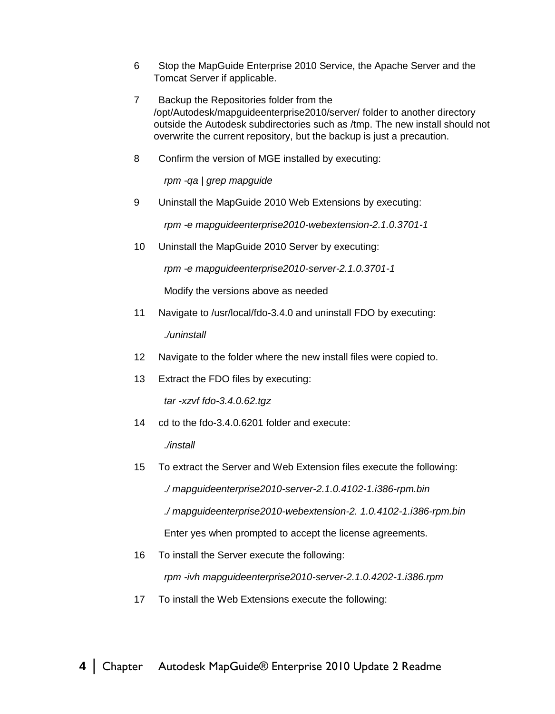- 6 Stop the MapGuide Enterprise 2010 Service, the Apache Server and the Tomcat Server if applicable.
- 7 Backup the Repositories folder from the /opt/Autodesk/mapguideenterprise2010/server/ folder to another directory outside the Autodesk subdirectories such as /tmp. The new install should not overwrite the current repository, but the backup is just a precaution.
- 8 Confirm the version of MGE installed by executing:

*rpm -qa | grep mapguide*

9 Uninstall the MapGuide 2010 Web Extensions by executing:

*rpm -e mapguideenterprise2010-webextension-2.1.0.3701-1*

10 Uninstall the MapGuide 2010 Server by executing:

*rpm -e mapguideenterprise2010-server-2.1.0.3701-1*

Modify the versions above as needed

11 Navigate to /usr/local/fdo-3.4.0 and uninstall FDO by executing:

*./uninstall*

- 12 Navigate to the folder where the new install files were copied to.
- 13 Extract the FDO files by executing:

*tar -xzvf fdo-3.4.0.62.tgz*

14 cd to the fdo-3.4.0.6201 folder and execute:

*./install*

15 To extract the Server and Web Extension files execute the following:

*./ mapguideenterprise2010-server-2.1.0.4102-1.i386-rpm.bin*

*./ mapguideenterprise2010-webextension-2. 1.0.4102-1.i386-rpm.bin*

Enter yes when prompted to accept the license agreements.

16 To install the Server execute the following:

*rpm -ivh mapguideenterprise2010-server-2.1.0.4202-1.i386.rpm*

17 To install the Web Extensions execute the following: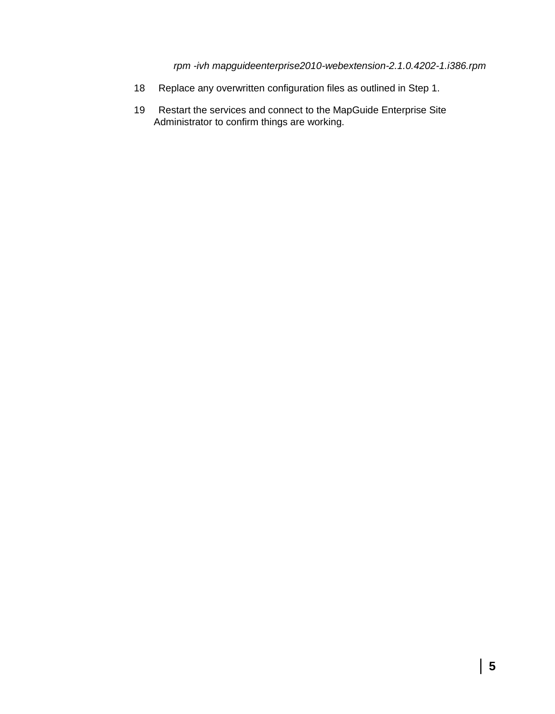*rpm -ivh mapguideenterprise2010-webextension-2.1.0.4202-1.i386.rpm*

- 18 Replace any overwritten configuration files as outlined in Step 1.
- 19 Restart the services and connect to the MapGuide Enterprise Site Administrator to confirm things are working.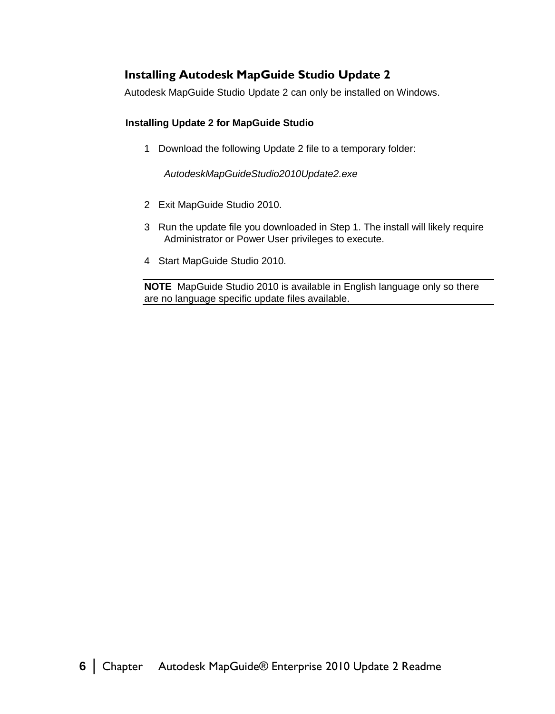#### **Installing Autodesk MapGuide Studio Update 2**

Autodesk MapGuide Studio Update 2 can only be installed on Windows.

#### **Installing Update 2 for MapGuide Studio**

1 Download the following Update 2 file to a temporary folder:

*AutodeskMapGuideStudio2010Update2.exe*

- 2 Exit MapGuide Studio 2010.
- 3 Run the update file you downloaded in Step 1. The install will likely require Administrator or Power User privileges to execute.
- 4 Start MapGuide Studio 2010.

**NOTE** MapGuide Studio 2010 is available in English language only so there are no language specific update files available.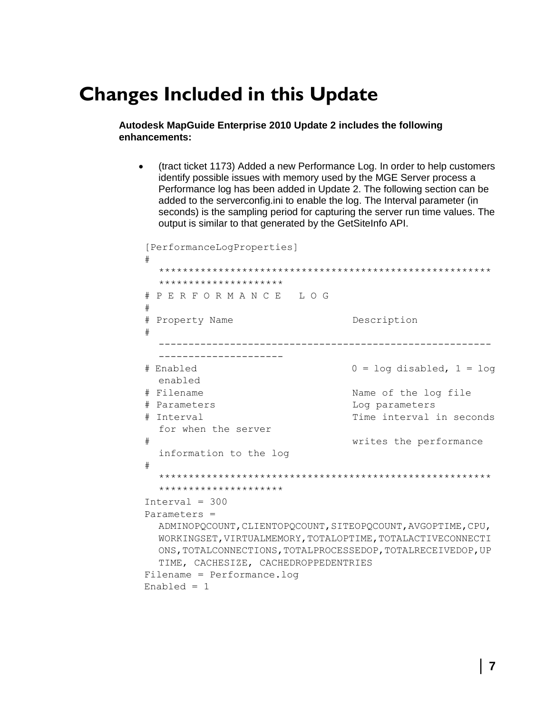## **Changes Included in this Update**

#### **Autodesk MapGuide Enterprise 2010 Update 2 includes the following enhancements:**

 (tract ticket 1173) Added a new Performance Log. In order to help customers identify possible issues with memory used by the MGE Server process a Performance log has been added in Update 2. The following section can be added to the serverconfig.ini to enable the log. The Interval parameter (in seconds) is the sampling period for capturing the server run time values. The output is similar to that generated by the GetSiteInfo API.

```
[PerformanceLogProperties]
# 
  ********************************************************
  ******************
# P E R F O R M A N C E L O G
#
# Property Name Description
# 
    --------------------------------------------------------
  ---------------------
# Enabled 0 = log disabled, 1 = log 
 enabled
# Filename Name of the log file
# Parameters Log parameters
# Interval Time interval in seconds 
 for when the server
# writes the performance 
 information to the log
# 
  ********************************************************
  *********************
Interval = 300Parameters = 
 ADMINOPQCOUNT,CLIENTOPQCOUNT,SITEOPQCOUNT,AVGOPTIME,CPU,
 WORKINGSET,VIRTUALMEMORY,TOTALOPTIME,TOTALACTIVECONNECTI
 ONS,TOTALCONNECTIONS,TOTALPROCESSEDOP,TOTALRECEIVEDOP,UP
 TIME, CACHESIZE, CACHEDROPPEDENTRIES
Filename = Performance.log
Enabled = 1
```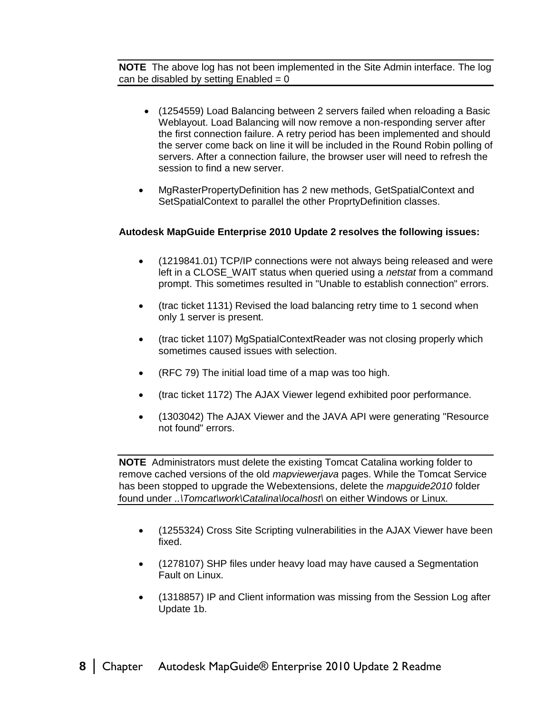**NOTE** The above log has not been implemented in the Site Admin interface. The log can be disabled by setting  $Enabled = 0$ 

- (1254559) Load Balancing between 2 servers failed when reloading a Basic Weblayout. Load Balancing will now remove a non-responding server after the first connection failure. A retry period has been implemented and should the server come back on line it will be included in the Round Robin polling of servers. After a connection failure, the browser user will need to refresh the session to find a new server.
- MgRasterPropertyDefinition has 2 new methods, GetSpatialContext and SetSpatialContext to parallel the other ProprtyDefinition classes.

#### **Autodesk MapGuide Enterprise 2010 Update 2 resolves the following issues:**

- (1219841.01) TCP/IP connections were not always being released and were left in a CLOSE\_WAIT status when queried using a *netstat* from a command prompt. This sometimes resulted in "Unable to establish connection" errors.
- (trac ticket 1131) Revised the load balancing retry time to 1 second when only 1 server is present.
- (trac ticket 1107) MgSpatialContextReader was not closing properly which sometimes caused issues with selection.
- (RFC 79) The initial load time of a map was too high.
- (trac ticket 1172) The AJAX Viewer legend exhibited poor performance.
- (1303042) The AJAX Viewer and the JAVA API were generating "Resource not found" errors.

**NOTE** Administrators must delete the existing Tomcat Catalina working folder to remove cached versions of the old *mapviewerjava* pages. While the Tomcat Service has been stopped to upgrade the Webextensions, delete the *mapguide2010* folder found under *..\Tomcat\work\Catalina\localhost\* on either Windows or Linux.

- (1255324) Cross Site Scripting vulnerabilities in the AJAX Viewer have been fixed.
- (1278107) SHP files under heavy load may have caused a Segmentation Fault on Linux.
- (1318857) IP and Client information was missing from the Session Log after Update 1b.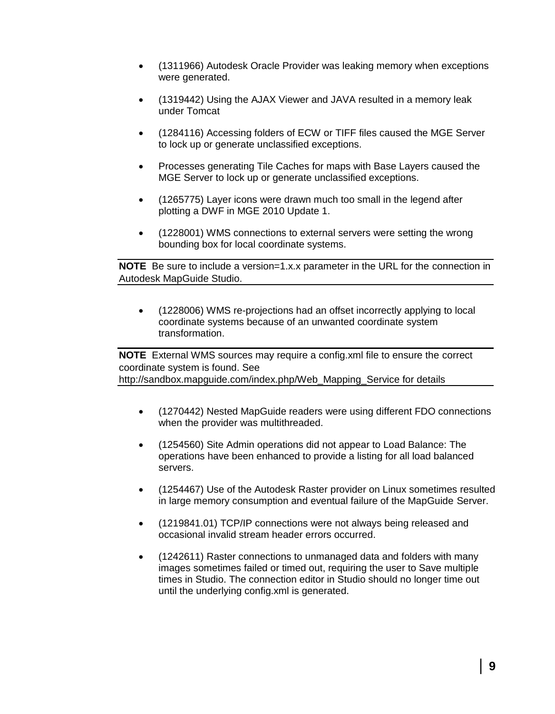- (1311966) Autodesk Oracle Provider was leaking memory when exceptions were generated.
- (1319442) Using the AJAX Viewer and JAVA resulted in a memory leak under Tomcat
- (1284116) Accessing folders of ECW or TIFF files caused the MGE Server to lock up or generate unclassified exceptions.
- Processes generating Tile Caches for maps with Base Layers caused the MGE Server to lock up or generate unclassified exceptions.
- (1265775) Layer icons were drawn much too small in the legend after plotting a DWF in MGE 2010 Update 1.
- (1228001) WMS connections to external servers were setting the wrong bounding box for local coordinate systems.

**NOTE** Be sure to include a version=1.x.x parameter in the URL for the connection in Autodesk MapGuide Studio.

 (1228006) WMS re-projections had an offset incorrectly applying to local coordinate systems because of an unwanted coordinate system transformation.

**NOTE** External WMS sources may require a config.xml file to ensure the correct coordinate system is found. See http://sandbox.mapguide.com/index.php/Web\_Mapping\_Service for details

- (1270442) Nested MapGuide readers were using different FDO connections when the provider was multithreaded.
- (1254560) Site Admin operations did not appear to Load Balance: The operations have been enhanced to provide a listing for all load balanced servers.
- (1254467) Use of the Autodesk Raster provider on Linux sometimes resulted in large memory consumption and eventual failure of the MapGuide Server.
- (1219841.01) TCP/IP connections were not always being released and occasional invalid stream header errors occurred.
- (1242611) Raster connections to unmanaged data and folders with many images sometimes failed or timed out, requiring the user to Save multiple times in Studio. The connection editor in Studio should no longer time out until the underlying config.xml is generated.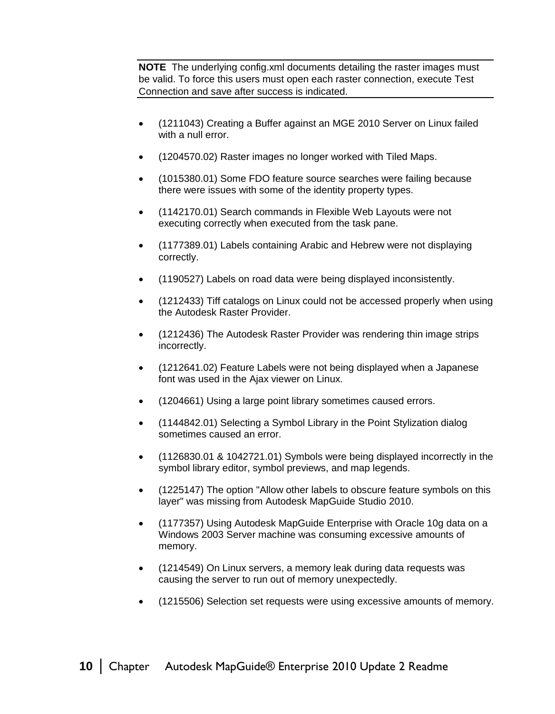**NOTE** The underlying config.xml documents detailing the raster images must be valid. To force this users must open each raster connection, execute Test Connection and save after success is indicated.

- (1211043) Creating a Buffer against an MGE 2010 Server on Linux failed with a null error.
- (1204570.02) Raster images no longer worked with Tiled Maps.
- (1015380.01) Some FDO feature source searches were failing because there were issues with some of the identity property types.
- (1142170.01) Search commands in Flexible Web Layouts were not executing correctly when executed from the task pane.
- (1177389.01) Labels containing Arabic and Hebrew were not displaying correctly.
- (1190527) Labels on road data were being displayed inconsistently.
- (1212433) Tiff catalogs on Linux could not be accessed properly when using the Autodesk Raster Provider.
- (1212436) The Autodesk Raster Provider was rendering thin image strips incorrectly.
- (1212641.02) Feature Labels were not being displayed when a Japanese font was used in the Ajax viewer on Linux.
- (1204661) Using a large point library sometimes caused errors.
- (1144842.01) Selecting a Symbol Library in the Point Stylization dialog sometimes caused an error.
- (1126830.01 & 1042721.01) Symbols were being displayed incorrectly in the symbol library editor, symbol previews, and map legends.
- (1225147) The option "Allow other labels to obscure feature symbols on this layer" was missing from Autodesk MapGuide Studio 2010.
- (1177357) Using Autodesk MapGuide Enterprise with Oracle 10g data on a Windows 2003 Server machine was consuming excessive amounts of memory.
- (1214549) On Linux servers, a memory leak during data requests was causing the server to run out of memory unexpectedly.
- (1215506) Selection set requests were using excessive amounts of memory.